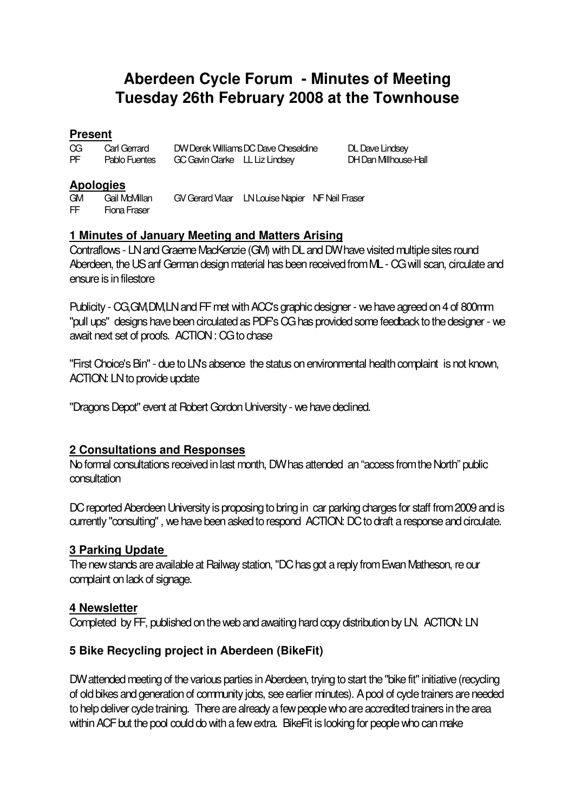# **Aberdeen Cycle Forum - Minutes of Meeting Tuesday 26th February 2008 at the Townhouse**

## **Present**

| Œ  | Carl Gerrard  | DW Derek Williams DC Dave Cheseldine |
|----|---------------|--------------------------------------|
| PF | Pablo Fuentes | GC Gavin Clarke LL Liz Lindsey       |

DL Dave Lindsey **DH Dan Milhouse-Hall** 

## **Apologies**

GM Gail McMillan GV Gerard Vlaar LN Louise Napier NF Neil Fraser FF Fiona Fraser

## **1 Minutes of January Meeting and Matters Arising**

Contraflows - LN and Graeme MacKenzie (GM) with DL and DW have visited multiple sites round Aberdeen, the US anf German design material has been received from ML - CG will scan, circulate and ensure is in filestore

Publicity - CG,GM,DM,LN and FF met with ACC's graphic designer - we have agreed on 4 of 800mm "pull ups" designs have been circulated as PDF's CG has provided some feedback to the designer - we await next set of proofs. ACTION : CG to chase

"First Choice's Bin" - due to LN's absence the status on environmental health complaint is not known, ACTION: LN to provide update

"Dragons Depot" event at Robert Gordon University - we have declined.

# **2 Consultations and Responses**

No formal consultations received in last month, DW has attended an "access from the North" public consultation

DC reported Aberdeen University is proposing to bring in car parking charges for staff from 2009 and is currently "consulting", we have been asked to respond ACTION: DC to draft a response and circulate.

#### **3 Parking Update**

The new stands are available at Railway station, "DC has got a reply from Ewan Matheson, re our complaint on lack of signage.

#### **4 Newsletter**

Completed by FF, published on the web and awaiting hard copy distribution by LN. ACTION: LN

# **5 Bike Recycling project in Aberdeen (BikeFit)**

DW attended meeting of the various parties in Aberdeen, trying to start the "bike fit" initiative (recycling of old bikes and generation of community jobs, see earlier minutes). A pool of cycle trainers are needed to help deliver cycle training. There are already a few people who are accredited trainers in the area within ACF but the pool could do with a few extra. BikeFit is looking for people who can make